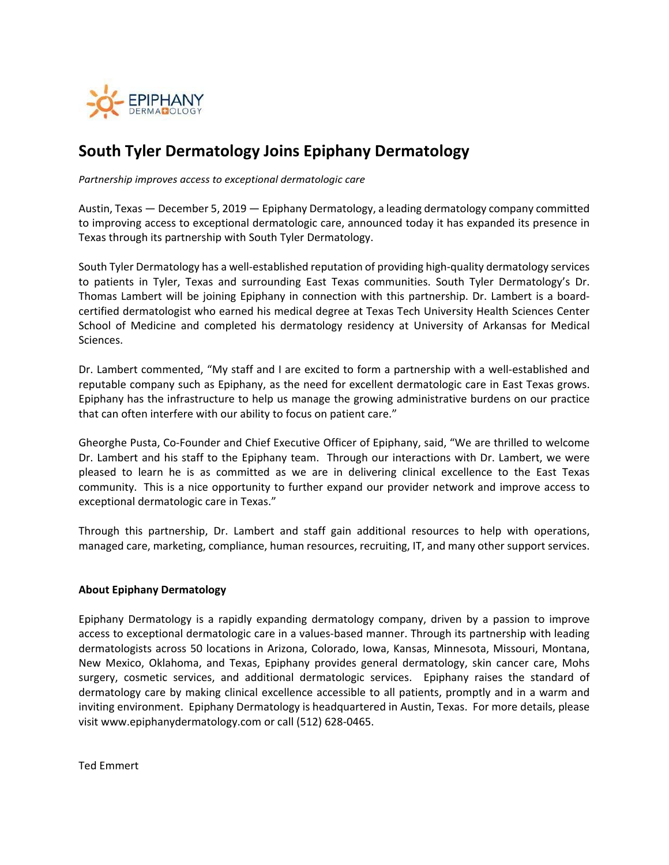

## **South Tyler Dermatology Joins Epiphany Dermatology**

*Partnership improves access to exceptional dermatologic care*

Austin, Texas — December 5, 2019 — Epiphany Dermatology, a leading dermatology company committed to improving access to exceptional dermatologic care, announced today it has expanded its presence in Texas through its partnership with South Tyler Dermatology.

South Tyler Dermatology has a well‐established reputation of providing high‐quality dermatology services to patients in Tyler, Texas and surrounding East Texas communities. South Tyler Dermatology's Dr. Thomas Lambert will be joining Epiphany in connection with this partnership. Dr. Lambert is a board‐ certified dermatologist who earned his medical degree at Texas Tech University Health Sciences Center School of Medicine and completed his dermatology residency at University of Arkansas for Medical Sciences.

Dr. Lambert commented, "My staff and I are excited to form a partnership with a well‐established and reputable company such as Epiphany, as the need for excellent dermatologic care in East Texas grows. Epiphany has the infrastructure to help us manage the growing administrative burdens on our practice that can often interfere with our ability to focus on patient care."

Gheorghe Pusta, Co‐Founder and Chief Executive Officer of Epiphany, said, "We are thrilled to welcome Dr. Lambert and his staff to the Epiphany team. Through our interactions with Dr. Lambert, we were pleased to learn he is as committed as we are in delivering clinical excellence to the East Texas community. This is a nice opportunity to further expand our provider network and improve access to exceptional dermatologic care in Texas."

Through this partnership, Dr. Lambert and staff gain additional resources to help with operations, managed care, marketing, compliance, human resources, recruiting, IT, and many other support services.

## **About Epiphany Dermatology**

Epiphany Dermatology is a rapidly expanding dermatology company, driven by a passion to improve access to exceptional dermatologic care in a values‐based manner. Through its partnership with leading dermatologists across 50 locations in Arizona, Colorado, Iowa, Kansas, Minnesota, Missouri, Montana, New Mexico, Oklahoma, and Texas, Epiphany provides general dermatology, skin cancer care, Mohs surgery, cosmetic services, and additional dermatologic services. Epiphany raises the standard of dermatology care by making clinical excellence accessible to all patients, promptly and in a warm and inviting environment. Epiphany Dermatology is headquartered in Austin, Texas. For more details, please visit www.epiphanydermatology.com or call (512) 628‐0465.

Ted Emmert